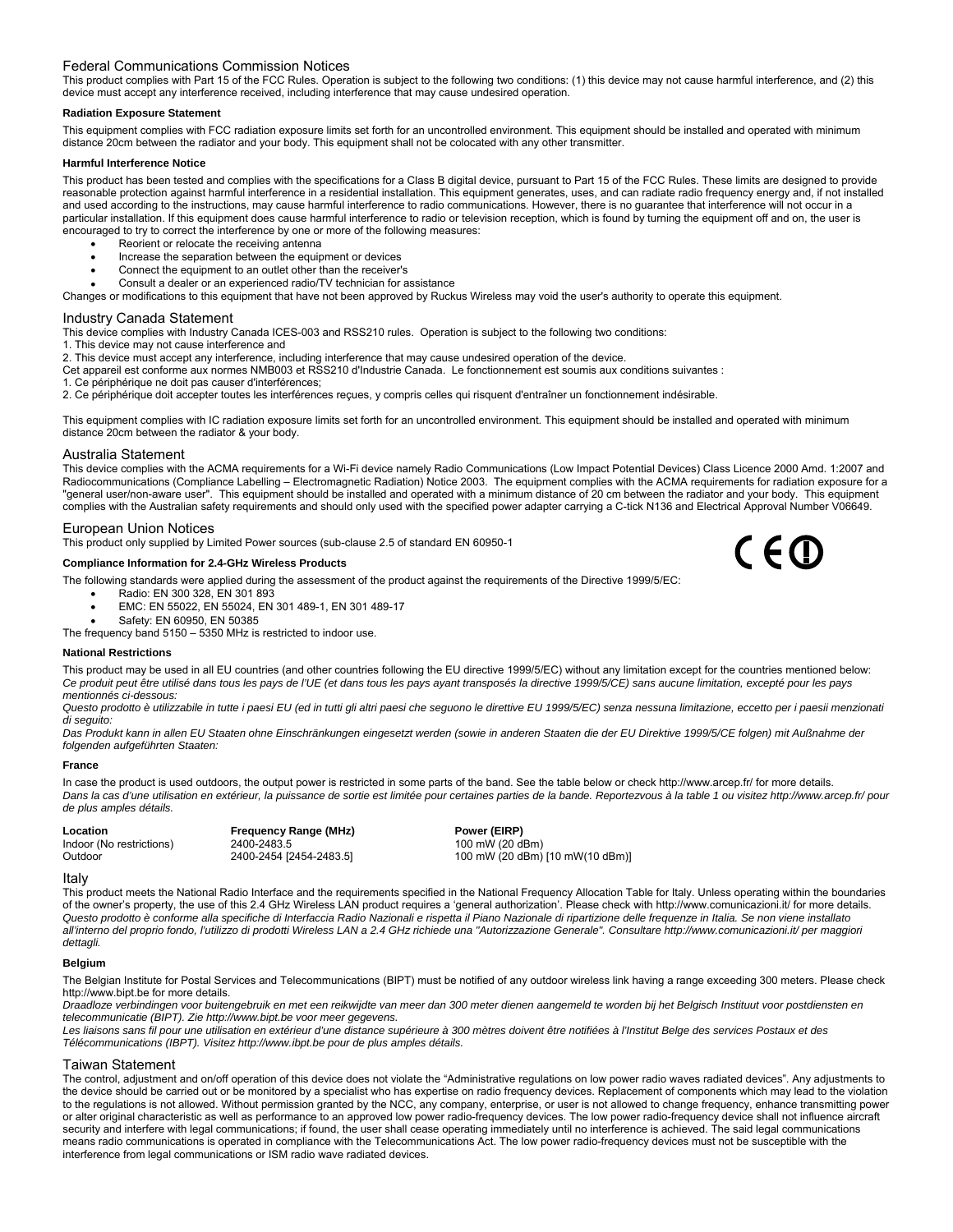# Federal Communications Commission Notices

This product complies with Part 15 of the FCC Rules. Operation is subject to the following two conditions: (1) this device may not cause harmful interference, and (2) this device must accept any interference received, including interference that may cause undesired operation.

### **Radiation Exposure Statement**

This equipment complies with FCC radiation exposure limits set forth for an uncontrolled environment. This equipment should be installed and operated with minimum distance 20cm between the radiator and your body. This equipment shall not be colocated with any other transmitter.

### **Harmful Interference Notice**

This product has been tested and complies with the specifications for a Class B digital device, pursuant to Part 15 of the FCC Rules. These limits are designed to provide reasonable protection against harmful interference in a residential installation. This equipment generates, uses, and can radiate radio frequency energy and, if not installed and used according to the instructions, may cause harmful interference to radio communications. However, there is no guarantee that interference will not occur in a particular installation. If this equipment does cause harmful interference to radio or television reception, which is found by turning the equipment off and on, the user is encouraged to try to correct the interference by one or more of the following measures:

- Reorient or relocate the receiving antenna
- Increase the separation between the equipment or devices
- Connect the equipment to an outlet other than the receiver's
- Consult a dealer or an experienced radio/TV technician for assistance

Changes or modifications to this equipment that have not been approved by Ruckus Wireless may void the user's authority to operate this equipment.

## Industry Canada Statement

This device complies with Industry Canada ICES-003 and RSS210 rules. Operation is subject to the following two conditions:

1. This device may not cause interference and

- 2. This device must accept any interference, including interference that may cause undesired operation of the device.
- Cet appareil est conforme aux normes NMB003 et RSS210 d'Industrie Canada. Le fonctionnement est soumis aux conditions suivantes :
- 1. Ce périphérique ne doit pas causer d'interférences;

2. Ce périphérique doit accepter toutes les interférences reçues, y compris celles qui risquent d'entraîner un fonctionnement indésirable.

This equipment complies with IC radiation exposure limits set forth for an uncontrolled environment. This equipment should be installed and operated with minimum distance 20cm between the radiator & your body.

### Australia Statement

This device complies with the ACMA requirements for a Wi-Fi device namely Radio Communications (Low Impact Potential Devices) Class Licence 2000 Amd. 1:2007 and Radiocommunications (Compliance Labelling – Electromagnetic Radiation) Notice 2003. The equipment complies with the ACMA requirements for radiation exposure for a "general user/non-aware user". This equipment should be installed and operated with a minimum distance of 20 cm between the radiator and your body. This equipment complies with the Australian safety requirements and should only used with the specified power adapter carrying a C-tick N136 and Electrical Approval Number V06649.

### European Union Notices

This product only supplied by Limited Power sources (sub-clause 2.5 of standard EN 60950-1

# **Compliance Information for 2.4-GHz Wireless Products**

The following standards were applied during the assessment of the product against the requirements of the Directive 1999/5/EC:

- Radio: EN 300 328, EN 301 893
	- EMC: EN 55022, EN 55024, EN 301 489-1, EN 301 489-17
- Safety: EN 60950, EN 50385
- The frequency band 5150 5350 MHz is restricted to indoor use.

#### **National Restrictions**

This product may be used in all EU countries (and other countries following the EU directive 1999/5/EC) without any limitation except for the countries mentioned below: *Ce produit peut être utilisé dans tous les pays de l'UE (et dans tous les pays ayant transposés la directive 1999/5/CE) sans aucune limitation, excepté pour les pays mentionnés ci-dessous:* 

Questo prodotto è utilizzabile in tutte i paesi EU (ed in tutti gli altri paesi che seguono le direttive EU 1999/5/EC) senza nessuna limitazione, eccetto per i paesii menzionati *di seguito:* 

*Das Produkt kann in allen EU Staaten ohne Einschränkungen eingesetzt werden (sowie in anderen Staaten die der EU Direktive 1999/5/CE folgen) mit Außnahme der folgenden aufgeführten Staaten:*

#### **France**

In case the product is used outdoors, the output power is restricted in some parts of the band. See the table below or check http://www.arcep.fr/ for more details. Dans la cas d'une utilisation en extérieur, la puissance de sortie est limitée pour certaines parties de la bande. Reportezvous à la table 1 ou visitez http://www.arcep.fr/ pour *de plus amples détails.* 

**Location Frequency Range (MHz)**<br>
Indoor (No restrictions) 2400-2483.5<br>
2400-2483.5<br>
2400 mW (20 d Indoor (No restrictions) 2400-2483.5 100 mW (20 dBm)<br>
2400-2454 [2454-2483.5] 100 mW (20 dBm) Outdoor 2400-2454 [2454-2483.5] 100 mW (20 dBm) [10 mW(10 dBm)]

 $C \in \mathbb{D}$ 

#### Italy

This product meets the National Radio Interface and the requirements specified in the National Frequency Allocation Table for Italy. Unless operating within the boundaries of the owner's property, the use of this 2.4 GHz Wireless LAN product requires a 'general authorization'. Please check with http://www.comunicazioni.it/ for more details. *Questo prodotto è conforme alla specifiche di Interfaccia Radio Nazionali e rispetta il Piano Nazionale di ripartizione delle frequenze in Italia. Se non viene installato all'interno del proprio fondo, l'utilizzo di prodotti Wireless LAN a 2.4 GHz richiede una "Autorizzazione Generale". Consultare <http://www.comunicazioni.it/> per maggiori dettagli.*

## **Belgium**

The Belgian Institute for Postal Services and Telecommunications (BIPT) must be notified of any outdoor wireless link having a range exceeding 300 meters. Please check http://www.bipt.be for more details.

*Draadloze verbindingen voor buitengebruik en met een reikwijdte van meer dan 300 meter dienen aangemeld te worden bij het Belgisch Instituut voor postdiensten en telecommunicatie (BIPT). Zie http://www.bipt.be voor meer gegevens.* 

Les liaisons sans fil pour une utilisation en extérieur d'une distance supérieure à 300 mètres doivent être notifiées à l'Institut Belge des services Postaux et des *Télécommunications (IBPT). Visitez http://www.ibpt.be pour de plus amples détails.* 

# Taiwan Statement

The control, adjustment and on/off operation of this device does not violate the "Administrative regulations on low power radio waves radiated devices". Any adjustments to the device should be carried out or be monitored by a specialist who has expertise on radio frequency devices. Replacement of components which may lead to the violation to the regulations is not allowed. Without permission granted by the NCC, any company, enterprise, or user is not allowed to change frequency, enhance transmitting power or alter original characteristic as well as performance to an approved low power radio-frequency devices. The low power radio-frequency device shall not influence aircraft security and interfere with legal communications; if found, the user shall cease operating immediately until no interference is achieved. The said legal communications means radio communications is operated in compliance with the Telecommunications Act. The low power radio-frequency devices must not be susceptible with the interference from legal communications or ISM radio wave radiated devices.